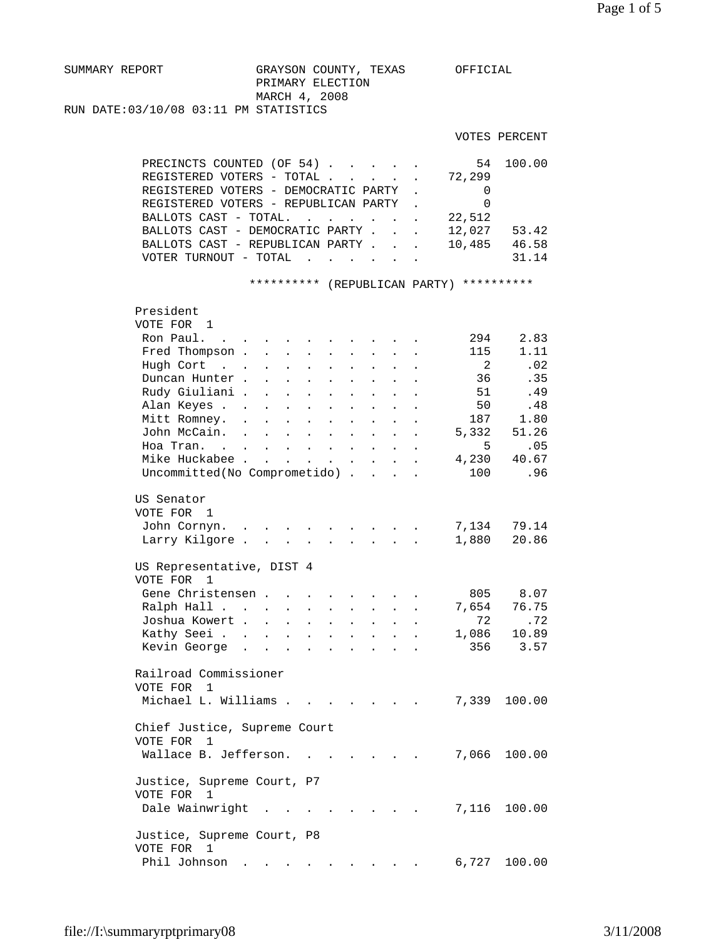| SUMMARY REPORT                        |  | GRAYSON COUNTY, TEXAS |  | OFFICIAL |
|---------------------------------------|--|-----------------------|--|----------|
|                                       |  | PRIMARY ELECTION      |  |          |
|                                       |  | MARCH 4, 2008         |  |          |
| RUN DATE:03/10/08 03:11 PM STATISTICS |  |                       |  |          |

VOTES PERCENT

| PRECINCTS COUNTED (OF 54) 54 100.00    |        |       |
|----------------------------------------|--------|-------|
| REGISTERED VOTERS - TOTAL 72,299       |        |       |
| REGISTERED VOTERS - DEMOCRATIC PARTY.  |        |       |
| REGISTERED VOTERS - REPUBLICAN PARTY   |        |       |
| BALLOTS CAST - TOTAL.                  | 22,512 |       |
| BALLOTS CAST - DEMOCRATIC PARTY 12,027 |        | 53.42 |
| BALLOTS CAST - REPUBLICAN PARTY        | 10,485 | 46.58 |
| VOTER TURNOUT - TOTAL                  |        | 31.14 |
|                                        |        |       |

\*\*\*\*\*\*\*\*\*\* (REPUBLICAN PARTY) \*\*\*\*\*\*\*\*\*\*

| President                                           |                      |                                      |                           |                      |                           |                      |                      |                      |                |        |
|-----------------------------------------------------|----------------------|--------------------------------------|---------------------------|----------------------|---------------------------|----------------------|----------------------|----------------------|----------------|--------|
| VOTE FOR 1                                          |                      |                                      |                           |                      |                           |                      |                      |                      |                |        |
| Ron Paul.<br>$\sim$                                 |                      |                                      |                           |                      |                           |                      |                      |                      | 294            | 2.83   |
| Fred Thompson .                                     |                      | $\ddot{\phantom{a}}$                 |                           |                      | $\ddot{\phantom{a}}$      |                      |                      |                      | 115            | 1.11   |
| Hugh Cort<br>$\mathbf{r}$ . The set of $\mathbf{r}$ |                      |                                      | $\mathbf{r}$              | $\mathbf{r}$         | $\mathbf{A}$              | $\overline{a}$       | $\overline{a}$       |                      | $\overline{2}$ | .02    |
| Duncan Hunter.                                      |                      | $\ddot{\phantom{a}}$                 | $\ddot{\phantom{a}}$      | $\ddot{\phantom{a}}$ | $\ddot{\phantom{a}}$      | $\ddot{\phantom{0}}$ | $\ddot{\phantom{a}}$ |                      | 36             | .35    |
| Rudy Giuliani .                                     |                      | $\ddot{\phantom{a}}$                 | $\ddot{\phantom{0}}$      | $\bullet$            | $\ddot{\phantom{a}}$      |                      |                      |                      | 51             | .49    |
| Alan Keyes .                                        | $\ddot{\phantom{a}}$ |                                      |                           |                      | $\ddot{\phantom{a}}$      |                      |                      |                      | 50             | .48    |
| Mitt Romney.                                        |                      |                                      |                           |                      |                           |                      |                      |                      | 187            | 1.80   |
| John McCain.                                        | $\ddot{\phantom{a}}$ | $\ddot{\phantom{a}}$                 | $\ddot{\phantom{a}}$      | $\ddot{\phantom{a}}$ | $\ddot{\phantom{a}}$      | $\ddot{\phantom{a}}$ | $\ddot{\phantom{a}}$ |                      | 5,332          | 51.26  |
| Hoa Tran.<br>$\sim$                                 | $\sim$ $-$           | $\mathbf{L}$                         | $\mathbf{L}$              | $\ddot{\phantom{a}}$ | $\mathbf{L}^{\text{max}}$ | $\ddot{\phantom{a}}$ | $\ddot{\phantom{a}}$ |                      | 5              | .05    |
| Mike Huckabee .                                     |                      | $\sim$                               |                           |                      | $\mathbf{L}^{\text{max}}$ | $\ddot{\phantom{a}}$ |                      |                      | 4,230          | 40.67  |
| Uncommitted(No Comprometido).                       |                      |                                      |                           |                      |                           |                      | $\mathbb{R}^2$       |                      | 100            | .96    |
|                                                     |                      |                                      |                           |                      |                           |                      |                      |                      |                |        |
| US Senator                                          |                      |                                      |                           |                      |                           |                      |                      |                      |                |        |
| VOTE FOR<br>1                                       |                      |                                      |                           |                      |                           |                      |                      |                      |                |        |
| John Cornyn.                                        |                      |                                      |                           |                      |                           |                      |                      |                      | 7,134          | 79.14  |
| Larry Kilgore.                                      |                      | $\mathbf{L} = \mathbf{L} \mathbf{L}$ |                           | $\mathbf{r}$         |                           |                      |                      |                      | 1,880          | 20.86  |
|                                                     |                      |                                      |                           |                      |                           |                      |                      |                      |                |        |
| US Representative, DIST 4                           |                      |                                      |                           |                      |                           |                      |                      |                      |                |        |
| VOTE FOR<br>1                                       |                      |                                      |                           |                      |                           |                      |                      |                      |                |        |
| Gene Christensen.                                   |                      |                                      |                           |                      |                           |                      |                      |                      | 805            | 8.07   |
| Ralph Hall                                          |                      |                                      | $\mathbf{L}^{\text{max}}$ | $\ddot{\phantom{a}}$ | $\ddot{\phantom{0}}$      | $\ddot{\phantom{0}}$ | $\ddot{\phantom{0}}$ | $\ddot{\phantom{0}}$ | 7,654          | 76.75  |
| Joshua Kowert .                                     |                      | $\ddot{\phantom{a}}$                 | $\ddot{\phantom{0}}$      | $\ddot{\phantom{a}}$ | $\ddot{\phantom{0}}$      | $\ddot{\phantom{0}}$ |                      |                      | 72             | .72    |
| Kathy Seei                                          |                      |                                      | $\mathbf{r}$              |                      | $\ddot{\phantom{a}}$      |                      |                      |                      | 1,086          | 10.89  |
| Kevin George                                        | $\sim$               | $\ddot{\phantom{a}}$<br>$\sim$       |                           | $\ddot{\phantom{a}}$ |                           |                      |                      |                      | 356            | 3.57   |
|                                                     |                      |                                      |                           |                      |                           |                      |                      |                      |                |        |
| Railroad Commissioner                               |                      |                                      |                           |                      |                           |                      |                      |                      |                |        |
| VOTE FOR 1                                          |                      |                                      |                           |                      |                           |                      |                      |                      |                |        |
| Michael L. Williams .                               |                      |                                      |                           |                      |                           |                      |                      |                      | 7,339          | 100.00 |
|                                                     |                      |                                      |                           |                      |                           |                      |                      |                      |                |        |
| Chief Justice, Supreme Court                        |                      |                                      |                           |                      |                           |                      |                      |                      |                |        |
| VOTE FOR 1                                          |                      |                                      |                           |                      |                           |                      |                      |                      |                |        |
| Wallace B. Jefferson.                               |                      |                                      |                           |                      |                           |                      |                      |                      | 7,066          | 100.00 |
|                                                     |                      |                                      |                           |                      |                           |                      |                      |                      |                |        |
| Justice, Supreme Court, P7                          |                      |                                      |                           |                      |                           |                      |                      |                      |                |        |
| VOTE FOR 1                                          |                      |                                      |                           |                      |                           |                      |                      |                      |                |        |
|                                                     |                      |                                      |                           |                      |                           |                      |                      |                      |                |        |
| Dale Wainwright                                     |                      |                                      |                           |                      |                           |                      |                      |                      | 7,116          | 100.00 |
|                                                     |                      |                                      |                           |                      |                           |                      |                      |                      |                |        |
| Justice, Supreme Court, P8<br>VOTE FOR              |                      |                                      |                           |                      |                           |                      |                      |                      |                |        |
| $\overline{1}$                                      |                      |                                      |                           |                      |                           |                      |                      |                      |                |        |
| Phil Johnson                                        |                      |                                      |                           |                      |                           |                      |                      |                      | 6,727          | 100.00 |
|                                                     |                      |                                      |                           |                      |                           |                      |                      |                      |                |        |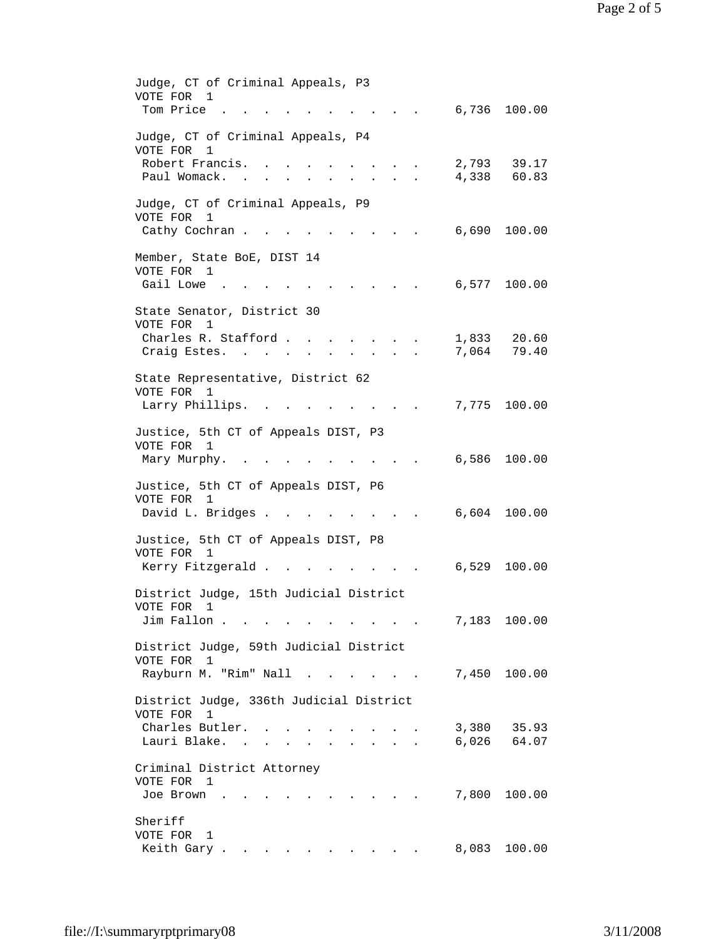| Judge, CT of Criminal Appeals, P3<br>VOTE FOR 1<br>Tom Price.                                           |       | 6,736 100.00               |
|---------------------------------------------------------------------------------------------------------|-------|----------------------------|
|                                                                                                         |       |                            |
| Judge, CT of Criminal Appeals, P4<br>VOTE FOR<br>1                                                      |       |                            |
| Robert Francis.<br>Paul Womack.<br>$\mathbf{r} = \mathbf{r}$<br>$\cdot$ $\cdot$ $\cdot$ $\cdot$ $\cdot$ |       | 2,793 39.17<br>4,338 60.83 |
| Judge, CT of Criminal Appeals, P9                                                                       |       |                            |
| VOTE FOR 1<br>Cathy Cochran                                                                             | 6,690 | 100.00                     |
| Member, State BoE, DIST 14                                                                              |       |                            |
| VOTE FOR 1<br>Gail Lowe .                                                                               | 6,577 | 100.00                     |
| $\cdot$ , $\cdot$ , $\cdot$ , $\cdot$ , $\cdot$                                                         |       |                            |
| State Senator, District 30<br>VOTE FOR 1                                                                |       |                            |
| Charles R. Stafford                                                                                     | 1,833 | 20.60                      |
| Craig Estes. .<br>$\sim$ $\sim$                                                                         | 7,064 | 79.40                      |
| State Representative, District 62                                                                       |       |                            |
| VOTE FOR 1                                                                                              |       | 100.00                     |
| Larry Phillips.<br>$\sim 10^{-10}$ $\sim$                                                               | 7,775 |                            |
| Justice, 5th CT of Appeals DIST, P3                                                                     |       |                            |
| VOTE FOR 1<br>Mary Murphy. .                                                                            |       | 6,586 100.00               |
| Justice, 5th CT of Appeals DIST, P6                                                                     |       |                            |
| VOTE FOR 1<br>David L. Bridges<br>$\mathbf{r} = \mathbf{r} + \mathbf{r} + \mathbf{r} + \mathbf{r}$      |       | 6,604 100.00               |
| Justice, 5th CT of Appeals DIST, P8<br>VOTE FOR 1                                                       |       |                            |
| Kerry Fitzgerald                                                                                        |       | 6,529 100.00               |
| District Judge, 15th Judicial District                                                                  |       |                            |
| VOTE FOR 1                                                                                              |       |                            |
| Jim Fallon<br>$\mathbf{z} = \mathbf{z} + \mathbf{z} + \mathbf{z}$                                       |       | 7,183 100.00               |
| District Judge, 59th Judicial District                                                                  |       |                            |
| VOTE FOR 1<br>Rayburn M. "Rim" Nall                                                                     |       | 7,450 100.00               |
|                                                                                                         |       |                            |
| District Judge, 336th Judicial District<br>VOTE FOR 1                                                   |       |                            |
| Charles Butler.                                                                                         |       | 3,380 35.93                |
| Lauri Blake.                                                                                            |       | 6,026 64.07                |
| Criminal District Attorney                                                                              |       |                            |
| VOTE FOR 1<br>Joe Brown<br>$\sim$ $\sim$ $\sim$ $\sim$                                                  | 7,800 | 100.00                     |
| Sheriff                                                                                                 |       |                            |
| VOTE FOR 1<br>Keith Gary                                                                                |       | 8,083 100.00               |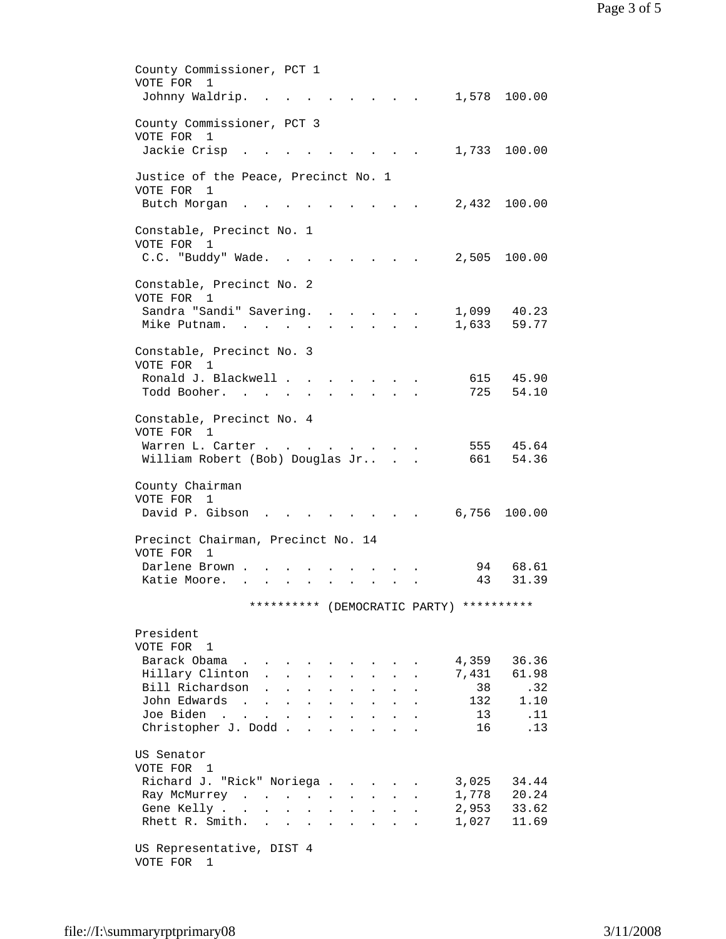County Commissioner, PCT 1 VOTE FOR 1 Johnny Waldrip. . . . . . . . . 1,578 100.00 County Commissioner, PCT 3 VOTE FOR 1 Jackie Crisp . . . . . . . . . 1,733 100.00 Justice of the Peace, Precinct No. 1 VOTE FOR 1 Butch Morgan . . . . . . . . . 2,432 100.00 Constable, Precinct No. 1 VOTE FOR 1 C.C. "Buddy" Wade. . . . . . . . 2,505 100.00 Constable, Precinct No. 2 VOTE FOR 1 Sandra "Sandi" Savering. . . . . . 1,099 40.23 Mike Putnam. . . . . . . . . . . 1,633 59.77 Constable, Precinct No. 3 VOTE FOR 1 Ronald J. Blackwell . . . . . . . . 615 45.90 Todd Booher. . . . . . . . . . 725 54.10 Constable, Precinct No. 4 VOTE FOR 1 Warren L. Carter . . . . . . . . . 555 45.64 William Robert (Bob) Douglas Jr.. . . 661 54.36 County Chairman VOTE FOR 1 David P. Gibson . . . . . . . . 6,756 100.00 Precinct Chairman, Precinct No. 14 VOTE FOR 1 Darlene Brown . . . . . . . . . . 94 68.61 Katie Moore. . . . . . . . . . . 43 31.39 \*\*\*\*\*\*\*\*\*\* (DEMOCRATIC PARTY) \*\*\*\*\*\*\*\*\*\* President VOTE FOR 1 Barack Obama . . . . . . . . . 4,359 36.36 Hillary Clinton . . . . . . . . 7,431 61.98<br>Bill Richardson . . . . . . . . 38 . 32 Bill Richardson . . . . . . . . . 38 .32<br>John Edwards . . . . . . . . . . 132 1.10 10 John Edwards . . . . . . . . . . . 132 1.10<br>11 Joe Biden . . . . . . . . . . . 13 .11 Joe Biden . . . . . . . . . . Christopher J. Dodd . . . . . . . . 16 . 13 US Senator VOTE FOR 1 Richard J. "Rick" Noriega . . . . . 3,025 34.44 Ray McMurrey . . . . . . . . . 1,778 20.24 Gene Kelly . . . . . . . . . . 2,953 33.62 Rhett R. Smith. . . . . . . . . 1,027 11.69 US Representative, DIST 4 VOTE FOR 1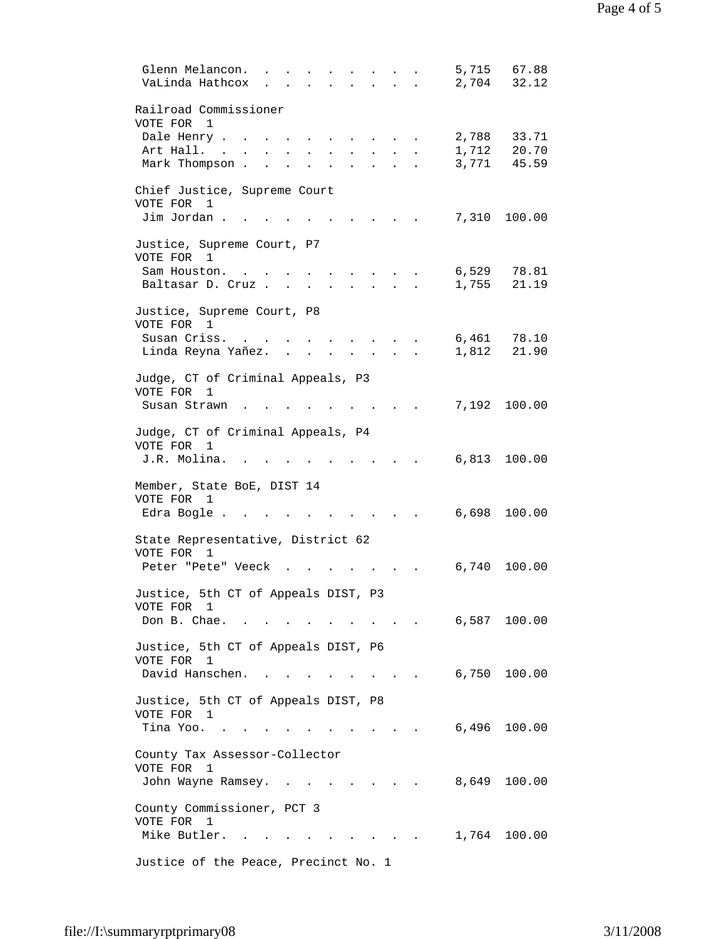| Glenn Melancon.<br>VaLinda Hathcox              |                                         |                      | 2,704 | 5,715 67.88<br>32.12 |
|-------------------------------------------------|-----------------------------------------|----------------------|-------|----------------------|
|                                                 |                                         |                      |       |                      |
| Railroad Commissioner<br>VOTE FOR<br>1          |                                         |                      |       |                      |
| Dale Henry                                      |                                         |                      | 2,788 | 33.71                |
| Art Hall.                                       |                                         |                      | 1,712 | 20.70                |
| Mark Thompson                                   |                                         |                      | 3,771 | 45.59                |
| Chief Justice, Supreme Court                    |                                         |                      |       |                      |
| VOTE FOR 1                                      |                                         |                      |       |                      |
| Jim Jordan.                                     |                                         |                      |       | 7,310 100.00         |
| Justice, Supreme Court, P7                      |                                         |                      |       |                      |
| VOTE FOR 1<br>Sam Houston.                      |                                         |                      | 6,529 | 78.81                |
| Baltasar D. Cruz                                |                                         |                      | 1,755 | 21.19                |
|                                                 |                                         |                      |       |                      |
| Justice, Supreme Court, P8<br>VOTE FOR 1        |                                         |                      |       |                      |
| Susan Criss.                                    |                                         |                      | 6,461 | 78.10                |
| Linda Reyna Yañez.<br>$\mathbf{L}$              | $\cdot$ $\cdot$ $\cdot$ $\cdot$ $\cdot$ |                      | 1,812 | 21.90                |
| Judge, CT of Criminal Appeals, P3               |                                         |                      |       |                      |
| VOTE FOR<br>1                                   |                                         |                      |       |                      |
| Susan Strawn                                    |                                         |                      |       | 7,192 100.00         |
|                                                 |                                         |                      |       |                      |
| Judge, CT of Criminal Appeals, P4<br>VOTE FOR 1 |                                         |                      |       |                      |
| J.R. Molina.                                    |                                         |                      |       | 6,813 100.00         |
| Member, State BoE, DIST 14                      |                                         |                      |       |                      |
| VOTE FOR 1                                      |                                         |                      |       |                      |
| Edra Bogle.                                     |                                         |                      |       | 6,698 100.00         |
| State Representative, District 62               |                                         |                      |       |                      |
| VOTE FOR 1                                      |                                         |                      |       |                      |
| Peter "Pete" Veeck.                             |                                         |                      | 6,740 | 100.00               |
| Justice, 5th CT of Appeals DIST, P3             |                                         |                      |       |                      |
| VOTE FOR 1                                      |                                         |                      |       |                      |
| Don B. Chae.                                    |                                         |                      |       | 6,587 100.00         |
| Justice, 5th CT of Appeals DIST, P6             |                                         |                      |       |                      |
| VOTE FOR 1                                      |                                         |                      |       |                      |
| David Hanschen.                                 |                                         | <b>All Contracts</b> |       | 6,750 100.00         |
| Justice, 5th CT of Appeals DIST, P8             |                                         |                      |       |                      |
| VOTE FOR 1                                      |                                         |                      |       |                      |
| Tina Yoo.                                       |                                         |                      |       | 6,496 100.00         |
| County Tax Assessor-Collector                   |                                         |                      |       |                      |
| VOTE FOR 1                                      |                                         |                      |       |                      |
| John Wayne Ramsey.                              |                                         |                      | 8,649 | 100.00               |
| County Commissioner, PCT 3                      |                                         |                      |       |                      |
| VOTE FOR 1                                      |                                         |                      |       |                      |
| Mike Butler.                                    |                                         |                      |       | 1,764 100.00         |
| Justice of the Peace, Precinct No. 1            |                                         |                      |       |                      |